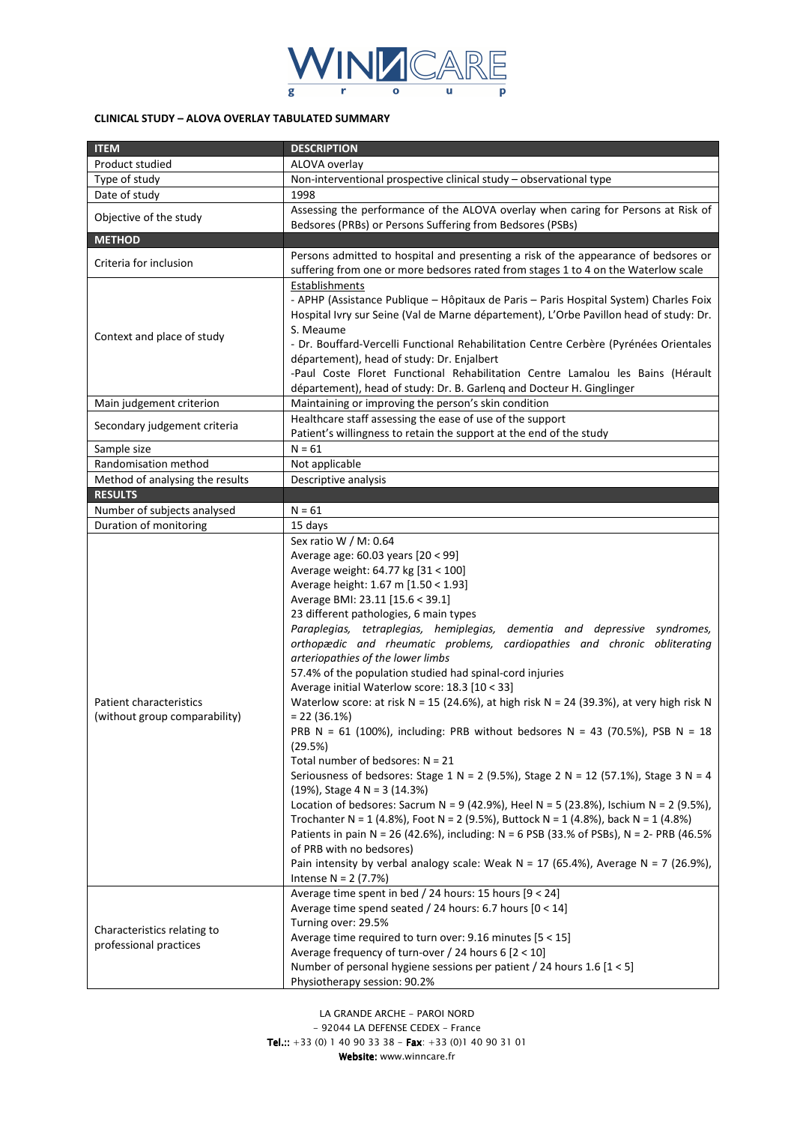

### **CLINICAL STUDY – ALOVA OVERLAY TABULATED SUMMARY**

| <b>ITEM</b>                                                     | <b>DESCRIPTION</b>                                                                                                                                                                                                                                                                                                                                                                                                                                                                                                                                                                                                                                                                                                                                                                                                                                                                                                                                                                                                                                                                                                                                                                                                                                                                                 |
|-----------------------------------------------------------------|----------------------------------------------------------------------------------------------------------------------------------------------------------------------------------------------------------------------------------------------------------------------------------------------------------------------------------------------------------------------------------------------------------------------------------------------------------------------------------------------------------------------------------------------------------------------------------------------------------------------------------------------------------------------------------------------------------------------------------------------------------------------------------------------------------------------------------------------------------------------------------------------------------------------------------------------------------------------------------------------------------------------------------------------------------------------------------------------------------------------------------------------------------------------------------------------------------------------------------------------------------------------------------------------------|
| Product studied                                                 | ALOVA overlay                                                                                                                                                                                                                                                                                                                                                                                                                                                                                                                                                                                                                                                                                                                                                                                                                                                                                                                                                                                                                                                                                                                                                                                                                                                                                      |
| Type of study                                                   | Non-interventional prospective clinical study - observational type                                                                                                                                                                                                                                                                                                                                                                                                                                                                                                                                                                                                                                                                                                                                                                                                                                                                                                                                                                                                                                                                                                                                                                                                                                 |
| Date of study                                                   | 1998                                                                                                                                                                                                                                                                                                                                                                                                                                                                                                                                                                                                                                                                                                                                                                                                                                                                                                                                                                                                                                                                                                                                                                                                                                                                                               |
| Objective of the study                                          | Assessing the performance of the ALOVA overlay when caring for Persons at Risk of<br>Bedsores (PRBs) or Persons Suffering from Bedsores (PSBs)                                                                                                                                                                                                                                                                                                                                                                                                                                                                                                                                                                                                                                                                                                                                                                                                                                                                                                                                                                                                                                                                                                                                                     |
| <b>METHOD</b>                                                   |                                                                                                                                                                                                                                                                                                                                                                                                                                                                                                                                                                                                                                                                                                                                                                                                                                                                                                                                                                                                                                                                                                                                                                                                                                                                                                    |
| Criteria for inclusion                                          | Persons admitted to hospital and presenting a risk of the appearance of bedsores or<br>suffering from one or more bedsores rated from stages 1 to 4 on the Waterlow scale                                                                                                                                                                                                                                                                                                                                                                                                                                                                                                                                                                                                                                                                                                                                                                                                                                                                                                                                                                                                                                                                                                                          |
| Context and place of study                                      | <b>Establishments</b><br>- APHP (Assistance Publique - Hôpitaux de Paris - Paris Hospital System) Charles Foix<br>Hospital Ivry sur Seine (Val de Marne département), L'Orbe Pavillon head of study: Dr.<br>S. Meaume<br>- Dr. Bouffard-Vercelli Functional Rehabilitation Centre Cerbère (Pyrénées Orientales<br>département), head of study: Dr. Enjalbert<br>-Paul Coste Floret Functional Rehabilitation Centre Lamalou les Bains (Hérault<br>département), head of study: Dr. B. Garlenq and Docteur H. Ginglinger                                                                                                                                                                                                                                                                                                                                                                                                                                                                                                                                                                                                                                                                                                                                                                            |
| Main judgement criterion                                        | Maintaining or improving the person's skin condition                                                                                                                                                                                                                                                                                                                                                                                                                                                                                                                                                                                                                                                                                                                                                                                                                                                                                                                                                                                                                                                                                                                                                                                                                                               |
| Secondary judgement criteria                                    | Healthcare staff assessing the ease of use of the support<br>Patient's willingness to retain the support at the end of the study                                                                                                                                                                                                                                                                                                                                                                                                                                                                                                                                                                                                                                                                                                                                                                                                                                                                                                                                                                                                                                                                                                                                                                   |
| Sample size                                                     | $N = 61$                                                                                                                                                                                                                                                                                                                                                                                                                                                                                                                                                                                                                                                                                                                                                                                                                                                                                                                                                                                                                                                                                                                                                                                                                                                                                           |
| Randomisation method                                            | Not applicable                                                                                                                                                                                                                                                                                                                                                                                                                                                                                                                                                                                                                                                                                                                                                                                                                                                                                                                                                                                                                                                                                                                                                                                                                                                                                     |
| Method of analysing the results                                 | Descriptive analysis                                                                                                                                                                                                                                                                                                                                                                                                                                                                                                                                                                                                                                                                                                                                                                                                                                                                                                                                                                                                                                                                                                                                                                                                                                                                               |
| <b>RESULTS</b>                                                  |                                                                                                                                                                                                                                                                                                                                                                                                                                                                                                                                                                                                                                                                                                                                                                                                                                                                                                                                                                                                                                                                                                                                                                                                                                                                                                    |
| Number of subjects analysed                                     | $N = 61$                                                                                                                                                                                                                                                                                                                                                                                                                                                                                                                                                                                                                                                                                                                                                                                                                                                                                                                                                                                                                                                                                                                                                                                                                                                                                           |
| Duration of monitoring                                          | 15 days<br>Sex ratio W / M: 0.64                                                                                                                                                                                                                                                                                                                                                                                                                                                                                                                                                                                                                                                                                                                                                                                                                                                                                                                                                                                                                                                                                                                                                                                                                                                                   |
| <b>Patient characteristics</b><br>(without group comparability) | Average age: 60.03 years [20 < 99]<br>Average weight: 64.77 kg [31 < 100]<br>Average height: 1.67 m [1.50 < 1.93]<br>Average BMI: 23.11 [15.6 < 39.1]<br>23 different pathologies, 6 main types<br>Paraplegias, tetraplegias, hemiplegias,<br>dementia and depressive syndromes,<br>orthopædic and rheumatic problems, cardiopathies and chronic obliterating<br>arteriopathies of the lower limbs<br>57.4% of the population studied had spinal-cord injuries<br>Average initial Waterlow score: 18.3 [10 < 33]<br>Waterlow score: at risk $N = 15$ (24.6%), at high risk $N = 24$ (39.3%), at very high risk N<br>$= 22 (36.1\%)$<br>PRB N = 61 (100%), including: PRB without bedsores N = 43 (70.5%), PSB N = 18<br>(29.5%)<br>Total number of bedsores: $N = 21$<br>Seriousness of bedsores: Stage 1 N = 2 (9.5%), Stage 2 N = 12 (57.1%), Stage 3 N = 4<br>$(19%)$ , Stage 4 N = 3 (14.3%)<br>Location of bedsores: Sacrum N = 9 (42.9%), Heel N = 5 (23.8%), Ischium N = 2 (9.5%),<br>Trochanter N = 1 (4.8%), Foot N = 2 (9.5%), Buttock N = 1 (4.8%), back N = 1 (4.8%)<br>Patients in pain N = 26 (42.6%), including: N = 6 PSB (33.% of PSBs), N = 2- PRB (46.5%<br>of PRB with no bedsores)<br>Pain intensity by verbal analogy scale: Weak $N = 17$ (65.4%), Average $N = 7$ (26.9%), |
| Characteristics relating to<br>professional practices           | Intense $N = 2$ (7.7%)<br>Average time spent in bed / 24 hours: 15 hours [9 < 24]<br>Average time spend seated / 24 hours: 6.7 hours [0 < 14]<br>Turning over: 29.5%<br>Average time required to turn over: 9.16 minutes [5 < 15]<br>Average frequency of turn-over / 24 hours 6 [2 < 10]<br>Number of personal hygiene sessions per patient / 24 hours 1.6 [1 < 5]<br>Physiotherapy session: 90.2%                                                                                                                                                                                                                                                                                                                                                                                                                                                                                                                                                                                                                                                                                                                                                                                                                                                                                                |

*LA GRANDE ARCHE - PAROI NORD - 92044 LA DEFENSE CEDEX - France Tel.:: +33 (0) 1 40 90 33 38 - Fax Tel.:: Fax: +33 (0)1 40 90 31 01 Website: www.winncare.fr Website:*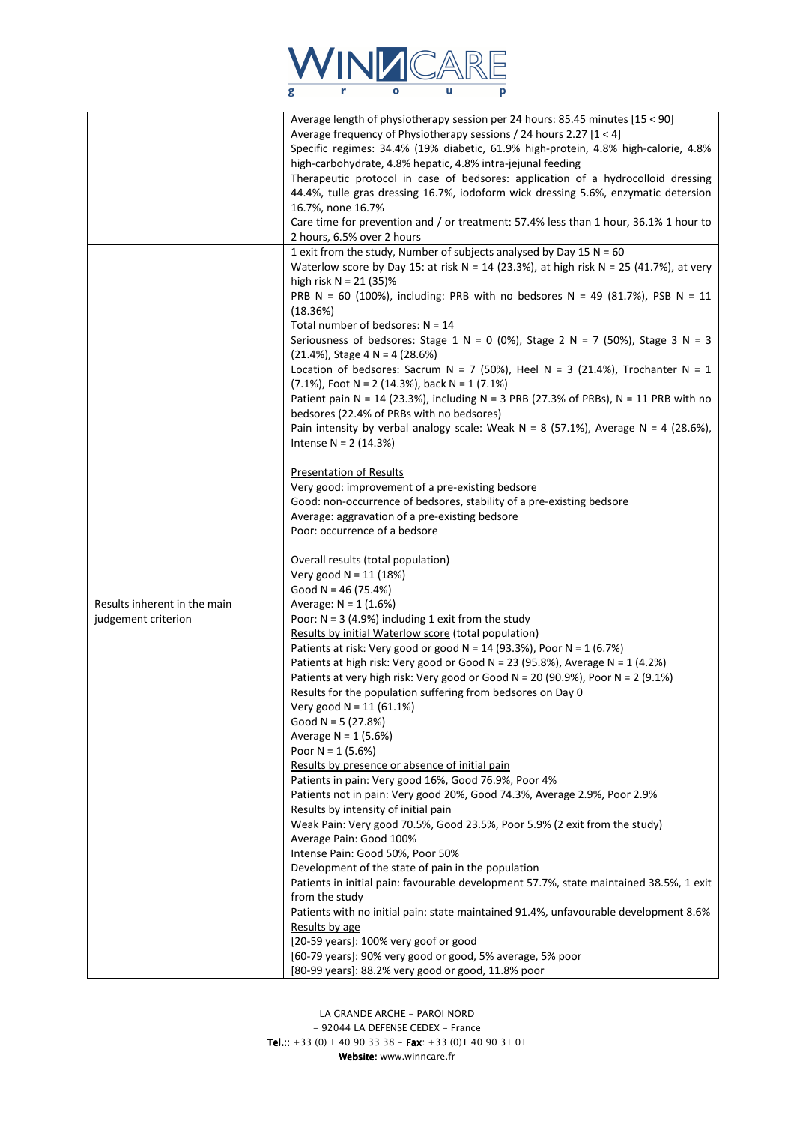

|                              | Average length of physiotherapy session per 24 hours: 85.45 minutes [15 < 90]                                                                                       |
|------------------------------|---------------------------------------------------------------------------------------------------------------------------------------------------------------------|
|                              | Average frequency of Physiotherapy sessions / 24 hours 2.27 [1 < 4]<br>Specific regimes: 34.4% (19% diabetic, 61.9% high-protein, 4.8% high-calorie, 4.8%           |
|                              | high-carbohydrate, 4.8% hepatic, 4.8% intra-jejunal feeding                                                                                                         |
|                              | Therapeutic protocol in case of bedsores: application of a hydrocolloid dressing                                                                                    |
|                              | 44.4%, tulle gras dressing 16.7%, iodoform wick dressing 5.6%, enzymatic detersion                                                                                  |
|                              | 16.7%, none 16.7%                                                                                                                                                   |
|                              | Care time for prevention and / or treatment: 57.4% less than 1 hour, 36.1% 1 hour to                                                                                |
|                              | 2 hours, 6.5% over 2 hours                                                                                                                                          |
|                              | 1 exit from the study, Number of subjects analysed by Day 15 $N = 60$<br>Waterlow score by Day 15: at risk $N = 14$ (23.3%), at high risk $N = 25$ (41.7%), at very |
|                              | high risk $N = 21$ (35)%                                                                                                                                            |
|                              | PRB N = 60 (100%), including: PRB with no bedsores N = 49 (81.7%), PSB N = 11                                                                                       |
|                              | (18.36%)                                                                                                                                                            |
|                              | Total number of bedsores: $N = 14$                                                                                                                                  |
|                              | Seriousness of bedsores: Stage 1 N = 0 (0%), Stage 2 N = 7 (50%), Stage 3 N = 3                                                                                     |
|                              | $(21.4\%)$ , Stage 4 N = 4 (28.6%)                                                                                                                                  |
|                              | Location of bedsores: Sacrum N = 7 (50%), Heel N = 3 (21.4%), Trochanter N = 1                                                                                      |
|                              | $(7.1\%)$ , Foot N = 2 (14.3%), back N = 1 (7.1%)<br>Patient pain N = 14 (23.3%), including N = 3 PRB (27.3% of PRBs), N = 11 PRB with no                           |
|                              | bedsores (22.4% of PRBs with no bedsores)                                                                                                                           |
|                              | Pain intensity by verbal analogy scale: Weak N = 8 (57.1%), Average N = 4 (28.6%),                                                                                  |
|                              | Intense $N = 2$ (14.3%)                                                                                                                                             |
|                              |                                                                                                                                                                     |
|                              | <b>Presentation of Results</b><br>Very good: improvement of a pre-existing bedsore                                                                                  |
|                              | Good: non-occurrence of bedsores, stability of a pre-existing bedsore                                                                                               |
|                              | Average: aggravation of a pre-existing bedsore                                                                                                                      |
|                              | Poor: occurrence of a bedsore                                                                                                                                       |
|                              | Overall results (total population)                                                                                                                                  |
|                              | Very good $N = 11$ (18%)                                                                                                                                            |
|                              | Good N = $46(75.4%)$                                                                                                                                                |
| Results inherent in the main | Average: $N = 1 (1.6%)$                                                                                                                                             |
| judgement criterion          | Poor: $N = 3$ (4.9%) including 1 exit from the study                                                                                                                |
|                              | Results by initial Waterlow score (total population)<br>Patients at risk: Very good or good $N = 14$ (93.3%), Poor $N = 1$ (6.7%)                                   |
|                              | Patients at high risk: Very good or Good N = 23 (95.8%), Average N = 1 (4.2%)                                                                                       |
|                              | Patients at very high risk: Very good or Good N = 20 (90.9%), Poor N = 2 (9.1%)                                                                                     |
|                              | Results for the population suffering from bedsores on Day 0                                                                                                         |
|                              | Very good $N = 11$ (61.1%)                                                                                                                                          |
|                              | Good N = $5(27.8%)$                                                                                                                                                 |
|                              | Average $N = 1$ (5.6%)<br>Poor $N = 1 (5.6%)$                                                                                                                       |
|                              | Results by presence or absence of initial pain                                                                                                                      |
|                              | Patients in pain: Very good 16%, Good 76.9%, Poor 4%                                                                                                                |
|                              | Patients not in pain: Very good 20%, Good 74.3%, Average 2.9%, Poor 2.9%                                                                                            |
|                              | Results by intensity of initial pain                                                                                                                                |
|                              | Weak Pain: Very good 70.5%, Good 23.5%, Poor 5.9% (2 exit from the study)                                                                                           |
|                              | Average Pain: Good 100%                                                                                                                                             |
|                              | Intense Pain: Good 50%, Poor 50%<br>Development of the state of pain in the population                                                                              |
|                              | Patients in initial pain: favourable development 57.7%, state maintained 38.5%, 1 exit                                                                              |
|                              | from the study                                                                                                                                                      |
|                              | Patients with no initial pain: state maintained 91.4%, unfavourable development 8.6%                                                                                |
|                              | Results by age                                                                                                                                                      |
|                              | [20-59 years]: 100% very goof or good                                                                                                                               |
|                              | [60-79 years]: 90% very good or good, 5% average, 5% poor<br>[80-99 years]: 88.2% very good or good, 11.8% poor                                                     |
|                              |                                                                                                                                                                     |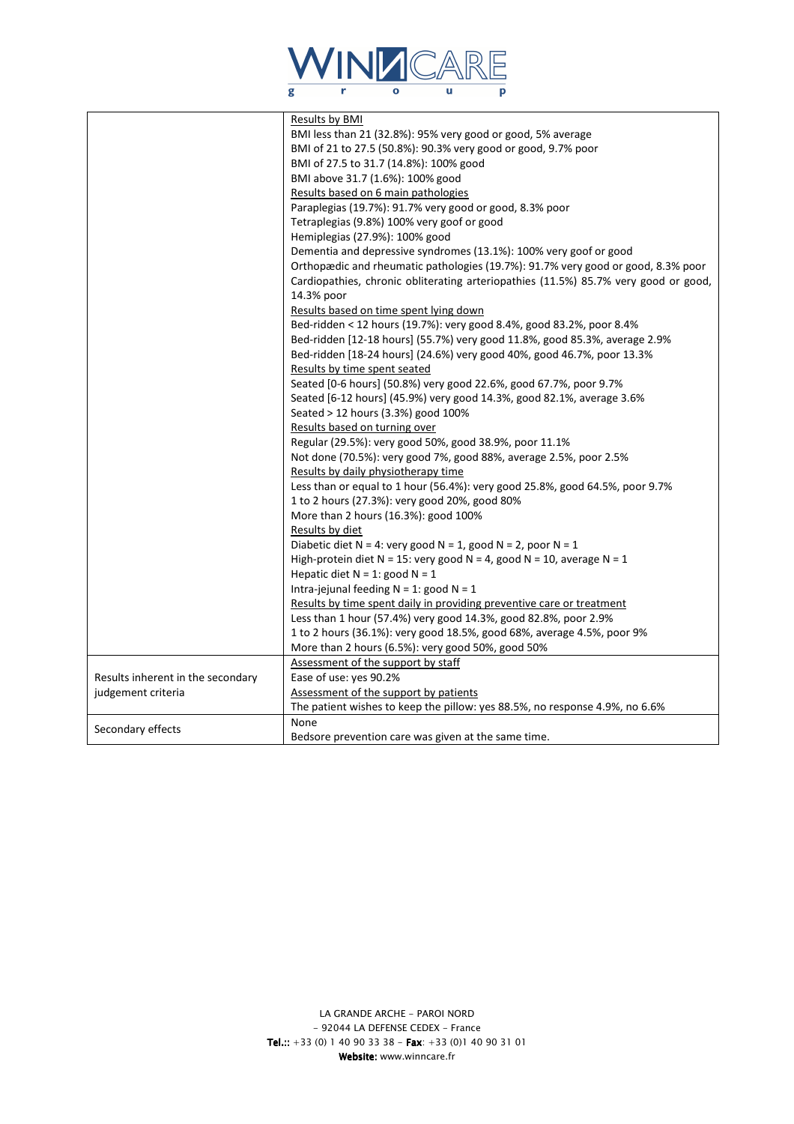

|                                   | Results by BMI                                                                      |
|-----------------------------------|-------------------------------------------------------------------------------------|
|                                   | BMI less than 21 (32.8%): 95% very good or good, 5% average                         |
|                                   | BMI of 21 to 27.5 (50.8%): 90.3% very good or good, 9.7% poor                       |
|                                   | BMI of 27.5 to 31.7 (14.8%): 100% good                                              |
|                                   | BMI above 31.7 (1.6%): 100% good                                                    |
|                                   | Results based on 6 main pathologies                                                 |
|                                   | Paraplegias (19.7%): 91.7% very good or good, 8.3% poor                             |
|                                   | Tetraplegias (9.8%) 100% very goof or good                                          |
|                                   | Hemiplegias (27.9%): 100% good                                                      |
|                                   | Dementia and depressive syndromes (13.1%): 100% very goof or good                   |
|                                   | Orthopædic and rheumatic pathologies (19.7%): 91.7% very good or good, 8.3% poor    |
|                                   | Cardiopathies, chronic obliterating arteriopathies (11.5%) 85.7% very good or good, |
|                                   | 14.3% poor                                                                          |
|                                   | Results based on time spent lying down                                              |
|                                   | Bed-ridden < 12 hours (19.7%): very good 8.4%, good 83.2%, poor 8.4%                |
|                                   | Bed-ridden [12-18 hours] (55.7%) very good 11.8%, good 85.3%, average 2.9%          |
|                                   | Bed-ridden [18-24 hours] (24.6%) very good 40%, good 46.7%, poor 13.3%              |
|                                   | Results by time spent seated                                                        |
|                                   | Seated [0-6 hours] (50.8%) very good 22.6%, good 67.7%, poor 9.7%                   |
|                                   | Seated [6-12 hours] (45.9%) very good 14.3%, good 82.1%, average 3.6%               |
|                                   | Seated > 12 hours (3.3%) good 100%                                                  |
|                                   | Results based on turning over                                                       |
|                                   | Regular (29.5%): very good 50%, good 38.9%, poor 11.1%                              |
|                                   | Not done (70.5%): very good 7%, good 88%, average 2.5%, poor 2.5%                   |
|                                   | Results by daily physiotherapy time                                                 |
|                                   | Less than or equal to 1 hour (56.4%): very good 25.8%, good 64.5%, poor 9.7%        |
|                                   | 1 to 2 hours (27.3%): very good 20%, good 80%                                       |
|                                   | More than 2 hours (16.3%): good 100%                                                |
|                                   | Results by diet                                                                     |
|                                   | Diabetic diet N = 4: very good N = 1, good N = 2, poor N = 1                        |
|                                   | High-protein diet N = 15: very good N = 4, good N = 10, average N = 1               |
|                                   | Hepatic diet $N = 1$ : good $N = 1$                                                 |
|                                   | Intra-jejunal feeding $N = 1$ : good $N = 1$                                        |
|                                   | Results by time spent daily in providing preventive care or treatment               |
|                                   | Less than 1 hour (57.4%) very good 14.3%, good 82.8%, poor 2.9%                     |
|                                   | 1 to 2 hours (36.1%): very good 18.5%, good 68%, average 4.5%, poor 9%              |
|                                   | More than 2 hours (6.5%): very good 50%, good 50%                                   |
|                                   | Assessment of the support by staff                                                  |
| Results inherent in the secondary | Ease of use: yes 90.2%                                                              |
| judgement criteria                | Assessment of the support by patients                                               |
|                                   | The patient wishes to keep the pillow: yes 88.5%, no response 4.9%, no 6.6%         |
|                                   | None                                                                                |
| Secondary effects                 | Bedsore prevention care was given at the same time.                                 |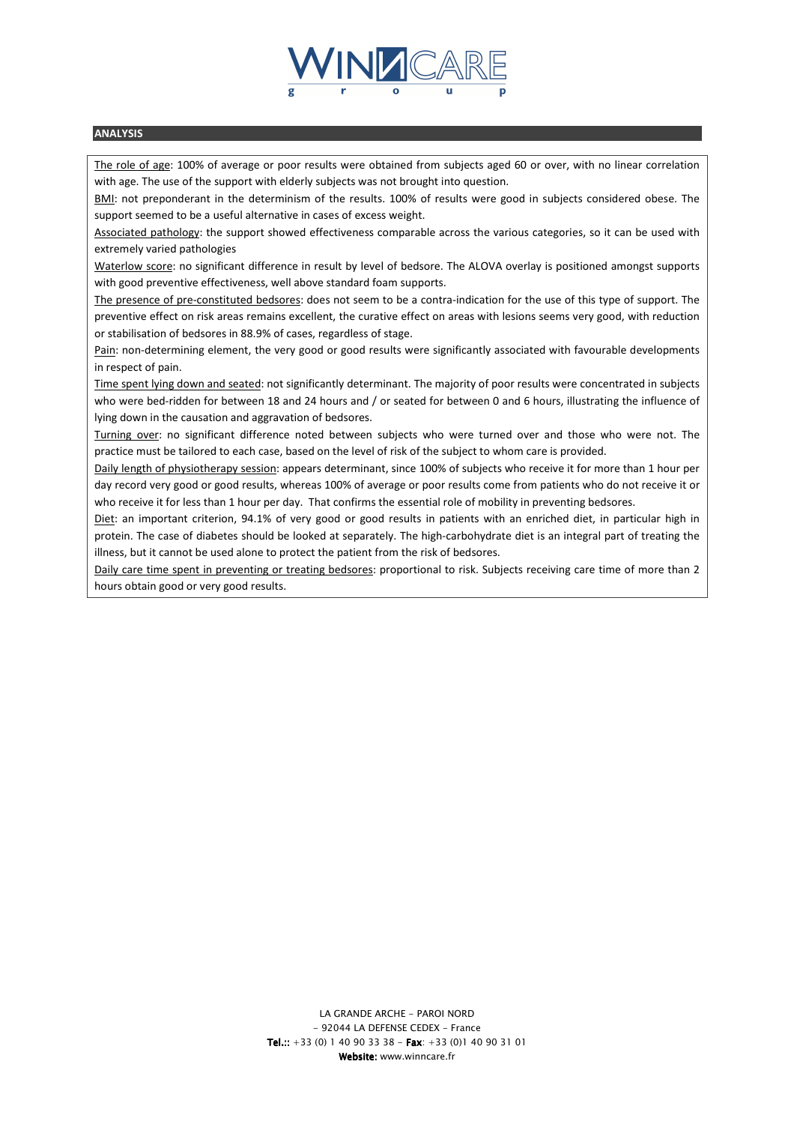

#### **ANALYSIS**

The role of age: 100% of average or poor results were obtained from subjects aged 60 or over, with no linear correlation with age. The use of the support with elderly subjects was not brought into question.

BMI: not preponderant in the determinism of the results. 100% of results were good in subjects considered obese. The support seemed to be a useful alternative in cases of excess weight.

Associated pathology: the support showed effectiveness comparable across the various categories, so it can be used with extremely varied pathologies

Waterlow score: no significant difference in result by level of bedsore. The ALOVA overlay is positioned amongst supports with good preventive effectiveness, well above standard foam supports.

The presence of pre-constituted bedsores: does not seem to be a contra-indication for the use of this type of support. The preventive effect on risk areas remains excellent, the curative effect on areas with lesions seems very good, with reduction or stabilisation of bedsores in 88.9% of cases, regardless of stage.

Pain: non-determining element, the very good or good results were significantly associated with favourable developments in respect of pain.

Time spent lying down and seated: not significantly determinant. The majority of poor results were concentrated in subjects who were bed-ridden for between 18 and 24 hours and / or seated for between 0 and 6 hours, illustrating the influence of lying down in the causation and aggravation of bedsores.

Turning over: no significant difference noted between subjects who were turned over and those who were not. The practice must be tailored to each case, based on the level of risk of the subject to whom care is provided.

Daily length of physiotherapy session: appears determinant, since 100% of subjects who receive it for more than 1 hour per day record very good or good results, whereas 100% of average or poor results come from patients who do not receive it or who receive it for less than 1 hour per day. That confirms the essential role of mobility in preventing bedsores.

Diet: an important criterion, 94.1% of very good or good results in patients with an enriched diet, in particular high in protein. The case of diabetes should be looked at separately. The high-carbohydrate diet is an integral part of treating the illness, but it cannot be used alone to protect the patient from the risk of bedsores.

Daily care time spent in preventing or treating bedsores: proportional to risk. Subjects receiving care time of more than 2 hours obtain good or very good results.

> *LA GRANDE ARCHE - PAROI NORD - 92044 LA DEFENSE CEDEX - France Tel.:: +33 (0) 1 40 90 33 38 - Fax Tel.:: Fax: +33 (0)1 40 90 31 01 Website: www.winncare.fr Website:*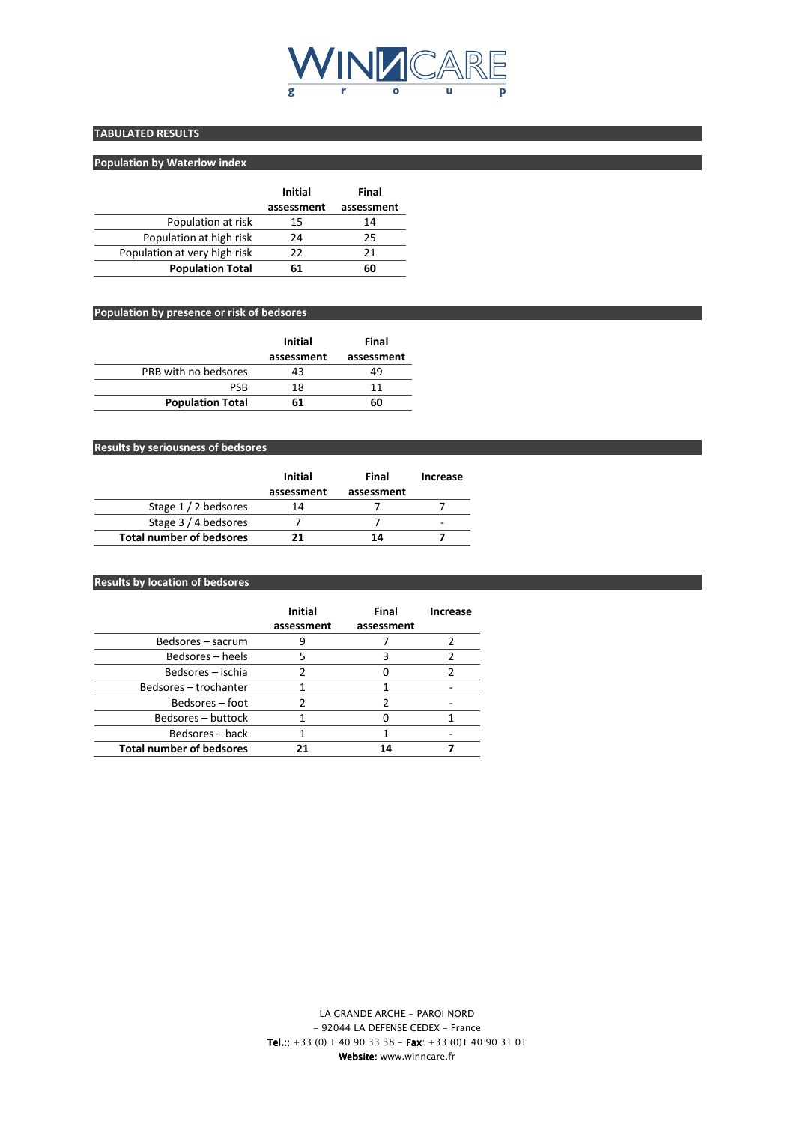

# **TABULATED RESULTS**

### **Population by Waterlow index**

|                              | Initial    | Final      |
|------------------------------|------------|------------|
|                              | assessment | assessment |
| Population at risk           | 15         | 14         |
| Population at high risk      | 24         | 25         |
| Population at very high risk | 22         | 21         |
| <b>Population Total</b>      | 61         | 60         |

### **Population by presence or risk of bedsores**

|                         | Initial<br>assessment | Final<br>assessment |
|-------------------------|-----------------------|---------------------|
| PRB with no bedsores    | 43                    | 49                  |
| <b>PSB</b>              | 18                    | 11                  |
| <b>Population Total</b> | 61                    | 60                  |

## **Results by seriousness of bedsores**

|                                 | Initial<br>assessment | Final<br>assessment | Increase |
|---------------------------------|-----------------------|---------------------|----------|
| Stage 1 / 2 bedsores            | 14                    |                     |          |
| Stage 3 / 4 bedsores            |                       |                     | -        |
| <b>Total number of bedsores</b> |                       | 14                  |          |

## **Results by location of bedsores**

|                                 | <b>Initial</b><br>assessment | Final<br>assessment | Increase |
|---------------------------------|------------------------------|---------------------|----------|
| Bedsores - sacrum               |                              |                     |          |
| Bedsores – heels                |                              |                     |          |
| Bedsores – ischia               |                              |                     |          |
| Bedsores - trochanter           |                              |                     |          |
| Bedsores – foot                 | 7                            |                     |          |
| Bedsores – buttock              |                              |                     |          |
| Bedsores – back                 |                              |                     |          |
| <b>Total number of bedsores</b> |                              |                     |          |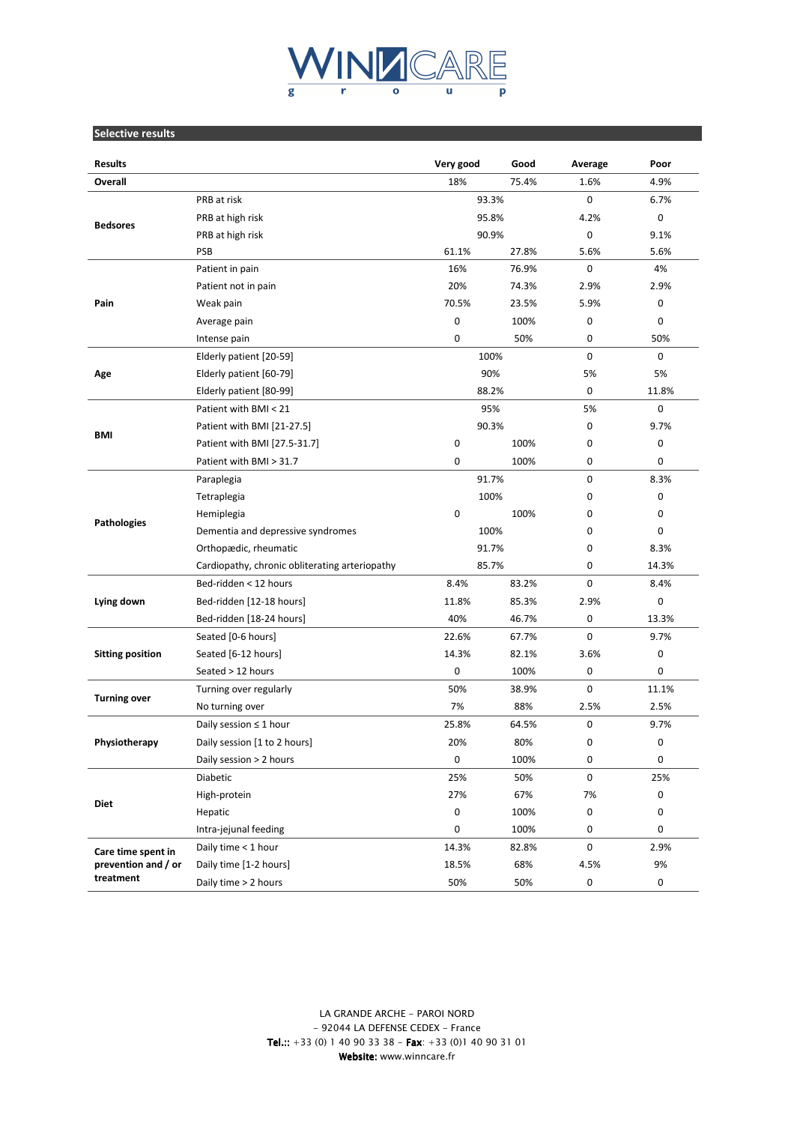

### **Selective results**

| <b>Results</b>          |                                                | Very good        | Good  | Average          | Poor        |
|-------------------------|------------------------------------------------|------------------|-------|------------------|-------------|
| Overall                 |                                                | 18%              | 75.4% | 1.6%             | 4.9%        |
|                         | PRB at risk                                    | 93.3%            |       | 0                | 6.7%        |
|                         | PRB at high risk                               | 95.8%            |       | 4.2%             | 0           |
| <b>Bedsores</b>         | PRB at high risk                               | 90.9%            |       | 0                | 9.1%        |
|                         | <b>PSB</b>                                     | 61.1%            | 27.8% | 5.6%             | 5.6%        |
|                         | Patient in pain                                | 16%              | 76.9% | 0                | 4%          |
|                         | Patient not in pain                            | 20%              | 74.3% | 2.9%             | 2.9%        |
| Pain                    | Weak pain                                      | 70.5%            | 23.5% | 5.9%             | 0           |
|                         | Average pain                                   | $\mathbf 0$      | 100%  | 0                | 0           |
|                         | Intense pain                                   | 0                | 50%   | 0                | 50%         |
|                         | Elderly patient [20-59]                        | 100%             |       | $\mathbf 0$      | $\mathbf 0$ |
| Age                     | Elderly patient [60-79]                        |                  | 90%   |                  | 5%          |
|                         | Elderly patient [80-99]                        | 88.2%            |       | 0                | 11.8%       |
|                         | Patient with BMI < 21                          | 95%              |       | 5%               | 0           |
|                         | Patient with BMI [21-27.5]                     | 90.3%            |       | 0                | 9.7%        |
| <b>BMI</b>              | Patient with BMI [27.5-31.7]                   | $\boldsymbol{0}$ | 100%  | 0                | 0           |
|                         | Patient with BMI > 31.7                        | $\mathbf 0$      | 100%  | 0                | 0           |
|                         | Paraplegia                                     | 91.7%            |       | 0                | 8.3%        |
|                         | Tetraplegia                                    | 100%             |       | 0                | 0           |
|                         | Hemiplegia                                     | 0                | 100%  | 0                | 0           |
| <b>Pathologies</b>      | Dementia and depressive syndromes              | 100%             |       | 0                | 0           |
|                         | Orthopædic, rheumatic                          | 91.7%            |       | 0                | 8.3%        |
|                         | Cardiopathy, chronic obliterating arteriopathy |                  | 85.7% |                  | 14.3%       |
|                         | Bed-ridden < 12 hours                          | 8.4%             | 83.2% | 0<br>$\mathbf 0$ | 8.4%        |
| Lying down              | Bed-ridden [12-18 hours]                       | 11.8%            | 85.3% | 2.9%             | 0           |
|                         | Bed-ridden [18-24 hours]                       | 40%              | 46.7% | 0                | 13.3%       |
|                         | Seated [0-6 hours]                             | 22.6%            | 67.7% | 0                | 9.7%        |
| <b>Sitting position</b> | Seated [6-12 hours]                            | 14.3%            | 82.1% | 3.6%             | 0           |
|                         | Seated > 12 hours                              | 0                | 100%  | 0                | 0           |
|                         |                                                | 50%              | 38.9% | $\mathbf 0$      | 11.1%       |
| <b>Turning over</b>     | Turning over regularly                         | 7%               | 88%   | 2.5%             | 2.5%        |
|                         | No turning over                                |                  |       | $\mathbf 0$      | 9.7%        |
|                         | Daily session $\leq$ 1 hour                    | 25.8%            | 64.5% | 0                |             |
| Physiotherapy           | Daily session [1 to 2 hours]                   | 20%              | 80%   |                  | 0           |
|                         | Daily session > 2 hours                        | 0                | 100%  | 0                | 0           |
|                         | Diabetic                                       | 25%              | 50%   | 0                | 25%         |
| <b>Diet</b>             | High-protein                                   | 27%              | 67%   | 7%               | 0           |
|                         | Hepatic                                        | 0                | 100%  | $\pmb{0}$        | 0           |
|                         | Intra-jejunal feeding                          | 0                | 100%  | 0                | 0           |
| Care time spent in      | Daily time < 1 hour                            | 14.3%            | 82.8% | 0                | 2.9%        |
| prevention and / or     | Daily time [1-2 hours]                         | 18.5%            | 68%   | 4.5%             | 9%          |
| treatment               | Daily time > 2 hours                           | 50%              | 50%   | $\pmb{0}$        | 0           |

*LA GRANDE ARCHE - PAROI NORD - 92044 LA DEFENSE CEDEX - France Tel.:: +33 (0) 1 40 90 33 38 - Fax Tel.:: Fax: +33 (0)1 40 90 31 01*  **Website:** www.winncare.fr